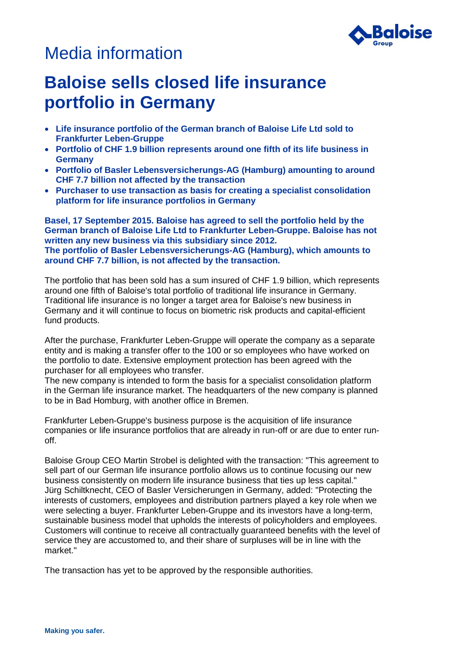## Media information



## **Baloise sells closed life insurance portfolio in Germany**

- **Life insurance portfolio of the German branch of Baloise Life Ltd sold to Frankfurter Leben-Gruppe**
- **Portfolio of CHF 1.9 billion represents around one fifth of its life business in Germany**
- **Portfolio of Basler Lebensversicherungs-AG (Hamburg) amounting to around CHF 7.7 billion not affected by the transaction**
- **Purchaser to use transaction as basis for creating a specialist consolidation platform for life insurance portfolios in Germany**

**Basel, 17 September 2015. Baloise has agreed to sell the portfolio held by the German branch of Baloise Life Ltd to Frankfurter Leben-Gruppe. Baloise has not written any new business via this subsidiary since 2012. The portfolio of Basler Lebensversicherungs-AG (Hamburg), which amounts to around CHF 7.7 billion, is not affected by the transaction.**

The portfolio that has been sold has a sum insured of CHF 1.9 billion, which represents around one fifth of Baloise's total portfolio of traditional life insurance in Germany. Traditional life insurance is no longer a target area for Baloise's new business in Germany and it will continue to focus on biometric risk products and capital-efficient fund products.

After the purchase, Frankfurter Leben-Gruppe will operate the company as a separate entity and is making a transfer offer to the 100 or so employees who have worked on the portfolio to date. Extensive employment protection has been agreed with the purchaser for all employees who transfer.

The new company is intended to form the basis for a specialist consolidation platform in the German life insurance market. The headquarters of the new company is planned to be in Bad Homburg, with another office in Bremen.

Frankfurter Leben-Gruppe's business purpose is the acquisition of life insurance companies or life insurance portfolios that are already in run-off or are due to enter runoff.

Baloise Group CEO Martin Strobel is delighted with the transaction: "This agreement to sell part of our German life insurance portfolio allows us to continue focusing our new business consistently on modern life insurance business that ties up less capital." Jürg Schiltknecht, CEO of Basler Versicherungen in Germany, added: "Protecting the interests of customers, employees and distribution partners played a key role when we were selecting a buyer. Frankfurter Leben-Gruppe and its investors have a long-term, sustainable business model that upholds the interests of policyholders and employees. Customers will continue to receive all contractually guaranteed benefits with the level of service they are accustomed to, and their share of surpluses will be in line with the market."

The transaction has yet to be approved by the responsible authorities.